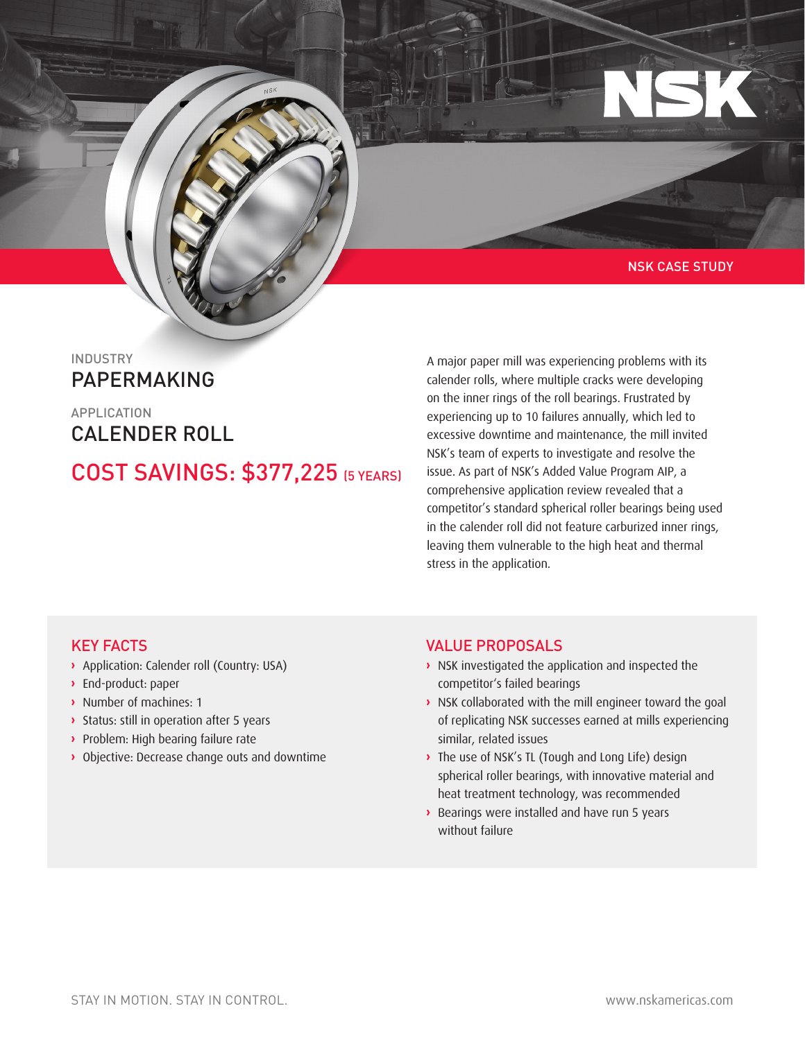#### NSK CASE STUDY

# INDUSTRY PAPERMAKING

APPLICATION CALENDER ROLL COST SAVINGS: \$377,225 (5 YEARS) A major paper mill was experiencing problems with its calender rolls, where multiple cracks were developing on the inner rings of the roll bearings. Frustrated by experiencing up to 10 failures annually, which led to excessive downtime and maintenance, the mill invited NSK's team of experts to investigate and resolve the issue. As part of NSK's Added Value Program AIP, a comprehensive application review revealed that a competitor's standard spherical roller bearings being used in the calender roll did not feature carburized inner rings, leaving them vulnerable to the high heat and thermal stress in the application.

## KEY FACTS

- **›** Application: Calender roll (Country: USA)
- **›** End-product: paper
- **›** Number of machines: 1
- **›** Status: still in operation after 5 years
- **›** Problem: High bearing failure rate
- **›** Objective: Decrease change outs and downtime

### VALUE PROPOSALS

- **›** NSK investigated the application and inspected the competitor's failed bearings
- **›** NSK collaborated with the mill engineer toward the goal of replicating NSK successes earned at mills experiencing similar, related issues
- **›** The use of NSK's TL (Tough and Long Life) design spherical roller bearings, with innovative material and heat treatment technology, was recommended
- **›** Bearings were installed and have run 5 years without failure